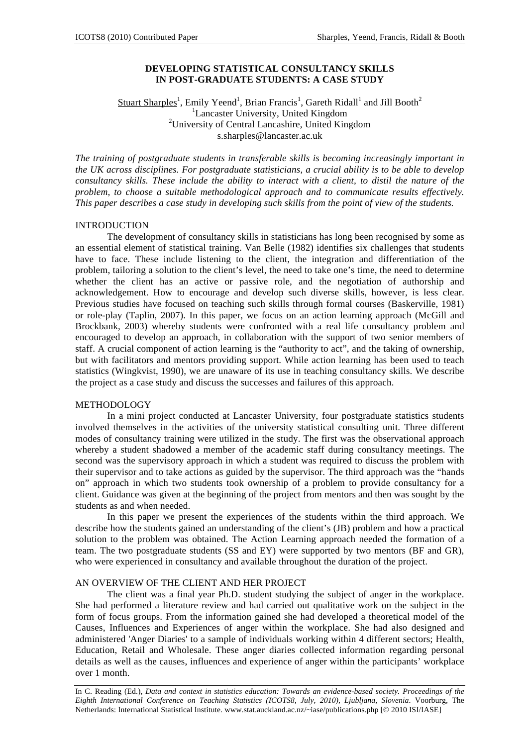# **DEVELOPING STATISTICAL CONSULTANCY SKILLS IN POST-GRADUATE STUDENTS: A CASE STUDY**

# Stuart Sharples<sup>1</sup>, Emily Yeend<sup>1</sup>, Brian Francis<sup>1</sup>, Gareth Ridall<sup>1</sup> and Jill Booth<sup>2</sup> <sup>1</sup>Lancaster University, United Kingdom <sup>2</sup>University of Central Lancashire, United Kingdom s.sharples@lancaster.ac.uk

*The training of postgraduate students in transferable skills is becoming increasingly important in the UK across disciplines. For postgraduate statisticians, a crucial ability is to be able to develop consultancy skills. These include the ability to interact with a client, to distil the nature of the problem, to choose a suitable methodological approach and to communicate results effectively. This paper describes a case study in developing such skills from the point of view of the students.* 

#### INTRODUCTION

The development of consultancy skills in statisticians has long been recognised by some as an essential element of statistical training. Van Belle (1982) identifies six challenges that students have to face. These include listening to the client, the integration and differentiation of the problem, tailoring a solution to the client's level, the need to take one's time, the need to determine whether the client has an active or passive role, and the negotiation of authorship and acknowledgement. How to encourage and develop such diverse skills, however, is less clear. Previous studies have focused on teaching such skills through formal courses (Baskerville, 1981) or role-play (Taplin, 2007). In this paper, we focus on an action learning approach (McGill and Brockbank, 2003) whereby students were confronted with a real life consultancy problem and encouraged to develop an approach, in collaboration with the support of two senior members of staff. A crucial component of action learning is the "authority to act", and the taking of ownership, but with facilitators and mentors providing support. While action learning has been used to teach statistics (Wingkvist, 1990), we are unaware of its use in teaching consultancy skills. We describe the project as a case study and discuss the successes and failures of this approach.

### METHODOLOGY

In a mini project conducted at Lancaster University, four postgraduate statistics students involved themselves in the activities of the university statistical consulting unit. Three different modes of consultancy training were utilized in the study. The first was the observational approach whereby a student shadowed a member of the academic staff during consultancy meetings. The second was the supervisory approach in which a student was required to discuss the problem with their supervisor and to take actions as guided by the supervisor. The third approach was the "hands on" approach in which two students took ownership of a problem to provide consultancy for a client. Guidance was given at the beginning of the project from mentors and then was sought by the students as and when needed.

In this paper we present the experiences of the students within the third approach. We describe how the students gained an understanding of the client's (JB) problem and how a practical solution to the problem was obtained. The Action Learning approach needed the formation of a team. The two postgraduate students (SS and EY) were supported by two mentors (BF and GR), who were experienced in consultancy and available throughout the duration of the project.

### AN OVERVIEW OF THE CLIENT AND HER PROJECT

The client was a final year Ph.D. student studying the subject of anger in the workplace. She had performed a literature review and had carried out qualitative work on the subject in the form of focus groups. From the information gained she had developed a theoretical model of the Causes, Influences and Experiences of anger within the workplace. She had also designed and administered 'Anger Diaries' to a sample of individuals working within 4 different sectors; Health, Education, Retail and Wholesale. These anger diaries collected information regarding personal details as well as the causes, influences and experience of anger within the participants' workplace over 1 month.

In C. Reading (Ed.), *Data and context in statistics education: Towards an evidence-based society. Proceedings of the Eighth International Conference on Teaching Statistics (ICOTS8, July, 2010), Ljubljana, Slovenia*. Voorburg, The Netherlands: International Statistical Institute. www.stat.auckland.ac.nz/~iase/publications.php [© 2010 ISI/IASE]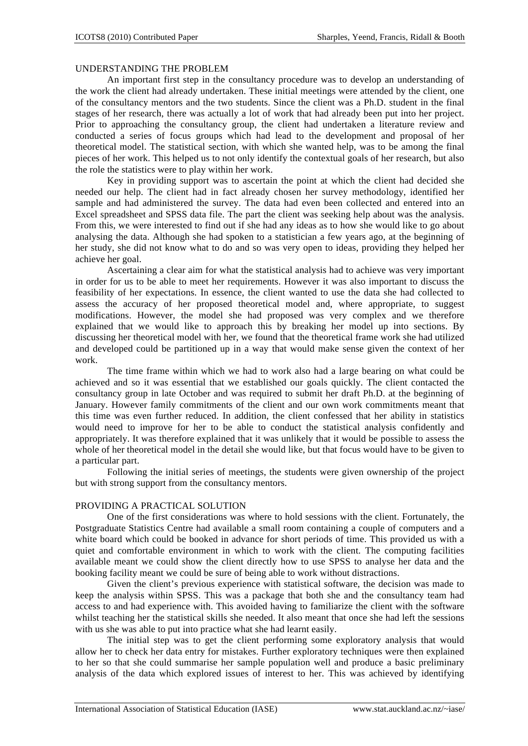### UNDERSTANDING THE PROBLEM

An important first step in the consultancy procedure was to develop an understanding of the work the client had already undertaken. These initial meetings were attended by the client, one of the consultancy mentors and the two students. Since the client was a Ph.D. student in the final stages of her research, there was actually a lot of work that had already been put into her project. Prior to approaching the consultancy group, the client had undertaken a literature review and conducted a series of focus groups which had lead to the development and proposal of her theoretical model. The statistical section, with which she wanted help, was to be among the final pieces of her work. This helped us to not only identify the contextual goals of her research, but also the role the statistics were to play within her work.

Key in providing support was to ascertain the point at which the client had decided she needed our help. The client had in fact already chosen her survey methodology, identified her sample and had administered the survey. The data had even been collected and entered into an Excel spreadsheet and SPSS data file. The part the client was seeking help about was the analysis. From this, we were interested to find out if she had any ideas as to how she would like to go about analysing the data. Although she had spoken to a statistician a few years ago, at the beginning of her study, she did not know what to do and so was very open to ideas, providing they helped her achieve her goal.

Ascertaining a clear aim for what the statistical analysis had to achieve was very important in order for us to be able to meet her requirements. However it was also important to discuss the feasibility of her expectations. In essence, the client wanted to use the data she had collected to assess the accuracy of her proposed theoretical model and, where appropriate, to suggest modifications. However, the model she had proposed was very complex and we therefore explained that we would like to approach this by breaking her model up into sections. By discussing her theoretical model with her, we found that the theoretical frame work she had utilized and developed could be partitioned up in a way that would make sense given the context of her work.

The time frame within which we had to work also had a large bearing on what could be achieved and so it was essential that we established our goals quickly. The client contacted the consultancy group in late October and was required to submit her draft Ph.D. at the beginning of January. However family commitments of the client and our own work commitments meant that this time was even further reduced. In addition, the client confessed that her ability in statistics would need to improve for her to be able to conduct the statistical analysis confidently and appropriately. It was therefore explained that it was unlikely that it would be possible to assess the whole of her theoretical model in the detail she would like, but that focus would have to be given to a particular part.

Following the initial series of meetings, the students were given ownership of the project but with strong support from the consultancy mentors.

### PROVIDING A PRACTICAL SOLUTION

One of the first considerations was where to hold sessions with the client. Fortunately, the Postgraduate Statistics Centre had available a small room containing a couple of computers and a white board which could be booked in advance for short periods of time. This provided us with a quiet and comfortable environment in which to work with the client. The computing facilities available meant we could show the client directly how to use SPSS to analyse her data and the booking facility meant we could be sure of being able to work without distractions.

Given the client's previous experience with statistical software, the decision was made to keep the analysis within SPSS. This was a package that both she and the consultancy team had access to and had experience with. This avoided having to familiarize the client with the software whilst teaching her the statistical skills she needed. It also meant that once she had left the sessions with us she was able to put into practice what she had learnt easily.

The initial step was to get the client performing some exploratory analysis that would allow her to check her data entry for mistakes. Further exploratory techniques were then explained to her so that she could summarise her sample population well and produce a basic preliminary analysis of the data which explored issues of interest to her. This was achieved by identifying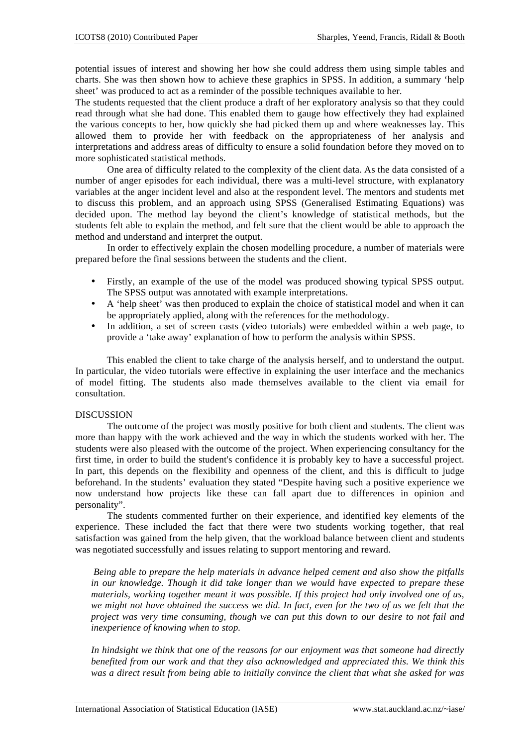potential issues of interest and showing her how she could address them using simple tables and charts. She was then shown how to achieve these graphics in SPSS. In addition, a summary 'help sheet' was produced to act as a reminder of the possible techniques available to her.

The students requested that the client produce a draft of her exploratory analysis so that they could read through what she had done. This enabled them to gauge how effectively they had explained the various concepts to her, how quickly she had picked them up and where weaknesses lay. This allowed them to provide her with feedback on the appropriateness of her analysis and interpretations and address areas of difficulty to ensure a solid foundation before they moved on to more sophisticated statistical methods.

One area of difficulty related to the complexity of the client data. As the data consisted of a number of anger episodes for each individual, there was a multi-level structure, with explanatory variables at the anger incident level and also at the respondent level. The mentors and students met to discuss this problem, and an approach using SPSS (Generalised Estimating Equations) was decided upon. The method lay beyond the client's knowledge of statistical methods, but the students felt able to explain the method, and felt sure that the client would be able to approach the method and understand and interpret the output.

In order to effectively explain the chosen modelling procedure, a number of materials were prepared before the final sessions between the students and the client.

- Firstly, an example of the use of the model was produced showing typical SPSS output. The SPSS output was annotated with example interpretations.
- A 'help sheet' was then produced to explain the choice of statistical model and when it can be appropriately applied, along with the references for the methodology.
- In addition, a set of screen casts (video tutorials) were embedded within a web page, to provide a 'take away' explanation of how to perform the analysis within SPSS.

This enabled the client to take charge of the analysis herself, and to understand the output. In particular, the video tutorials were effective in explaining the user interface and the mechanics of model fitting. The students also made themselves available to the client via email for consultation.

### DISCUSSION

The outcome of the project was mostly positive for both client and students. The client was more than happy with the work achieved and the way in which the students worked with her. The students were also pleased with the outcome of the project. When experiencing consultancy for the first time, in order to build the student's confidence it is probably key to have a successful project. In part, this depends on the flexibility and openness of the client, and this is difficult to judge beforehand. In the students' evaluation they stated "Despite having such a positive experience we now understand how projects like these can fall apart due to differences in opinion and personality".

The students commented further on their experience, and identified key elements of the experience. These included the fact that there were two students working together, that real satisfaction was gained from the help given, that the workload balance between client and students was negotiated successfully and issues relating to support mentoring and reward.

*Being able to prepare the help materials in advance helped cement and also show the pitfalls in our knowledge. Though it did take longer than we would have expected to prepare these materials, working together meant it was possible. If this project had only involved one of us, we might not have obtained the success we did. In fact, even for the two of us we felt that the project was very time consuming, though we can put this down to our desire to not fail and inexperience of knowing when to stop.* 

*In hindsight we think that one of the reasons for our enjoyment was that someone had directly benefited from our work and that they also acknowledged and appreciated this. We think this was a direct result from being able to initially convince the client that what she asked for was*